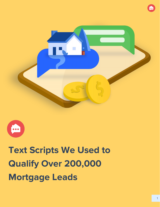



## **Text Scripts We Used to Qualify Over 200,000 Mortgage Leads**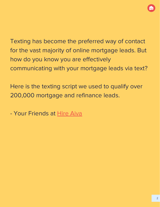Texting has become the preferred way of contact for the vast majority of online mortgage leads. But how do you know you are effectively communicating with your mortgage leads via text?

Here is the texting script we used to qualify over 200,000 mortgage and refinance leads.

- Your Friends at [Hire Aiva](https://www.hireaiva.com/?tp_src=lender-scripts-ebook)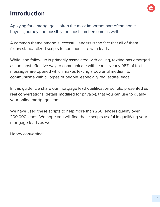## **Introduction**

Applying for a mortgage is often the most important part of the home buyer's journey and possibly the most cumbersome as well.

A common theme among successful lenders is the fact that all of them follow standardized scripts to communicate with leads.

While lead follow up is primarily associated with calling, texting has emerged as the most effective way to communicate with leads. Nearly 98% of text messages are opened which makes texting a powerful medium to communicate with all types of people, especially real estate leads!

In this guide, we share our mortgage lead qualification scripts, presented as real conversations (details modified for privacy), that you can use to qualify your online mortgage leads.

We have used these scripts to help more than 250 lenders qualify over 200,000 leads. We hope you will find these scripts useful in qualifying your mortgage leads as well!

Happy converting!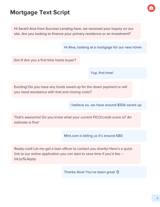## **Mortgage Text Script**

Hi Sarah! Aiva from Success Lending here, we received your inquiry on our site. Are you looking to finance your primary residence or an investment?

Hi AIva, looking at a mortgage for our new home

Got it! Are you a first time home buyer?

Yup, first time!

Exciting! Do you have any funds saved up for the down payment or will you need assistance with that and closing costs?

I believe so, we have around \$50k saved up

That's awesome! Do you know what your current FICO/credit score is? An estimate is fine!

Mint.com is telling us it's around 680

Really cool! Let me get a loan officer to contact you shortly! Here's a quick link to our online application you can start to save time if you'd like - bit.ly/SLApply

Thanks Aiva! You've been great  $\mathfrak V$